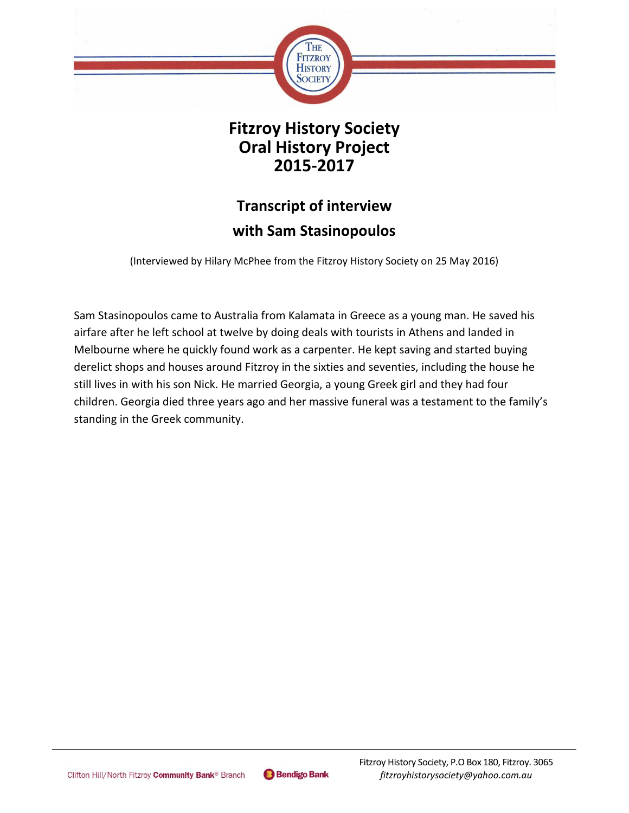

## **Fitzroy History Society Oral History Project 2015-2017**

## **Transcript of interview with Sam Stasinopoulos**

(Interviewed by Hilary McPhee from the Fitzroy History Society on 25 May 2016)

Sam Stasinopoulos came to Australia from Kalamata in Greece as a young man. He saved his airfare after he left school at twelve by doing deals with tourists in Athens and landed in Melbourne where he quickly found work as a carpenter. He kept saving and started buying derelict shops and houses around Fitzroy in the sixties and seventies, including the house he still lives in with his son Nick. He married Georgia, a young Greek girl and they had four children. Georgia died three years ago and her massive funeral was a testament to the family's standing in the Greek community.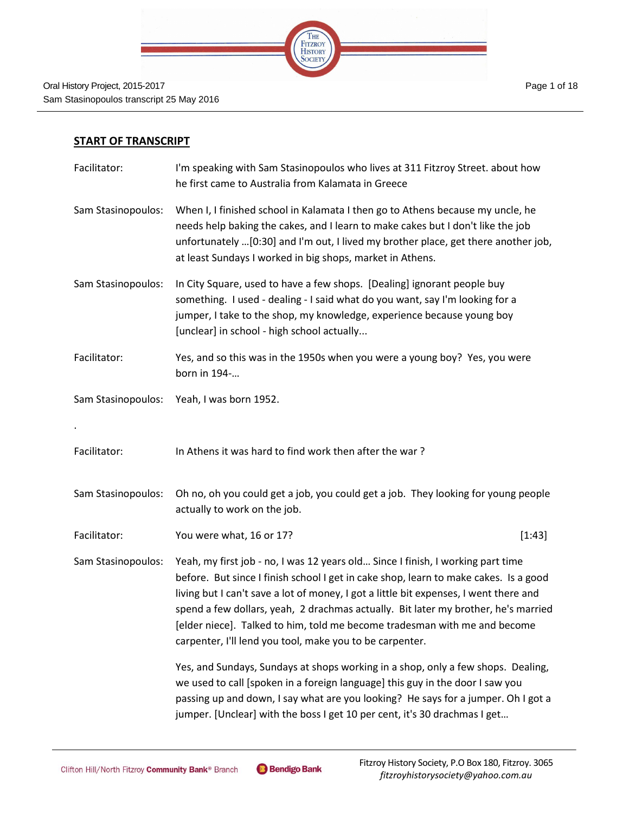

## **START OF TRANSCRIPT**

| Facilitator:       | I'm speaking with Sam Stasinopoulos who lives at 311 Fitzroy Street. about how<br>he first came to Australia from Kalamata in Greece                                                                                                                                                                                                                                                                                                                                                            |
|--------------------|-------------------------------------------------------------------------------------------------------------------------------------------------------------------------------------------------------------------------------------------------------------------------------------------------------------------------------------------------------------------------------------------------------------------------------------------------------------------------------------------------|
| Sam Stasinopoulos: | When I, I finished school in Kalamata I then go to Athens because my uncle, he<br>needs help baking the cakes, and I learn to make cakes but I don't like the job<br>unfortunately [0:30] and I'm out, I lived my brother place, get there another job,<br>at least Sundays I worked in big shops, market in Athens.                                                                                                                                                                            |
| Sam Stasinopoulos: | In City Square, used to have a few shops. [Dealing] ignorant people buy<br>something. I used - dealing - I said what do you want, say I'm looking for a<br>jumper, I take to the shop, my knowledge, experience because young boy<br>[unclear] in school - high school actually                                                                                                                                                                                                                 |
| Facilitator:       | Yes, and so this was in the 1950s when you were a young boy? Yes, you were<br>born in 194-                                                                                                                                                                                                                                                                                                                                                                                                      |
| Sam Stasinopoulos: | Yeah, I was born 1952.                                                                                                                                                                                                                                                                                                                                                                                                                                                                          |
|                    |                                                                                                                                                                                                                                                                                                                                                                                                                                                                                                 |
| Facilitator:       | In Athens it was hard to find work then after the war?                                                                                                                                                                                                                                                                                                                                                                                                                                          |
| Sam Stasinopoulos: | Oh no, oh you could get a job, you could get a job. They looking for young people<br>actually to work on the job.                                                                                                                                                                                                                                                                                                                                                                               |
| Facilitator:       | You were what, 16 or 17?<br>[1:43]                                                                                                                                                                                                                                                                                                                                                                                                                                                              |
| Sam Stasinopoulos: | Yeah, my first job - no, I was 12 years old Since I finish, I working part time<br>before. But since I finish school I get in cake shop, learn to make cakes. Is a good<br>living but I can't save a lot of money, I got a little bit expenses, I went there and<br>spend a few dollars, yeah, 2 drachmas actually. Bit later my brother, he's married<br>[elder niece]. Talked to him, told me become tradesman with me and become<br>carpenter, I'll lend you tool, make you to be carpenter. |
|                    | Yes, and Sundays, Sundays at shops working in a shop, only a few shops. Dealing,<br>we used to call [spoken in a foreign language] this guy in the door I saw you<br>passing up and down, I say what are you looking? He says for a jumper. Oh I got a<br>jumper. [Unclear] with the boss I get 10 per cent, it's 30 drachmas I get                                                                                                                                                             |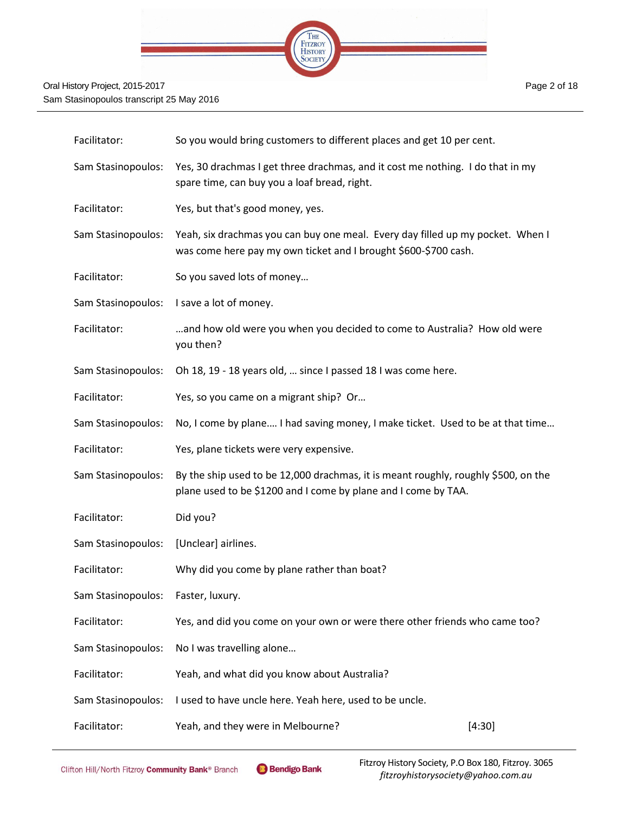

| Facilitator:       | So you would bring customers to different places and get 10 per cent.                                                                                |        |
|--------------------|------------------------------------------------------------------------------------------------------------------------------------------------------|--------|
| Sam Stasinopoulos: | Yes, 30 drachmas I get three drachmas, and it cost me nothing. I do that in my<br>spare time, can buy you a loaf bread, right.                       |        |
| Facilitator:       | Yes, but that's good money, yes.                                                                                                                     |        |
| Sam Stasinopoulos: | Yeah, six drachmas you can buy one meal. Every day filled up my pocket. When I<br>was come here pay my own ticket and I brought \$600-\$700 cash.    |        |
| Facilitator:       | So you saved lots of money                                                                                                                           |        |
| Sam Stasinopoulos: | I save a lot of money.                                                                                                                               |        |
| Facilitator:       | and how old were you when you decided to come to Australia? How old were<br>you then?                                                                |        |
| Sam Stasinopoulos: | Oh 18, 19 - 18 years old,  since I passed 18 I was come here.                                                                                        |        |
| Facilitator:       | Yes, so you came on a migrant ship? Or                                                                                                               |        |
| Sam Stasinopoulos: | No, I come by plane I had saving money, I make ticket. Used to be at that time                                                                       |        |
| Facilitator:       | Yes, plane tickets were very expensive.                                                                                                              |        |
| Sam Stasinopoulos: | By the ship used to be 12,000 drachmas, it is meant roughly, roughly \$500, on the<br>plane used to be \$1200 and I come by plane and I come by TAA. |        |
| Facilitator:       | Did you?                                                                                                                                             |        |
| Sam Stasinopoulos: | [Unclear] airlines.                                                                                                                                  |        |
| Facilitator:       | Why did you come by plane rather than boat?                                                                                                          |        |
| Sam Stasinopoulos: | Faster, luxury.                                                                                                                                      |        |
| Facilitator:       | Yes, and did you come on your own or were there other friends who came too?                                                                          |        |
| Sam Stasinopoulos: | No I was travelling alone                                                                                                                            |        |
| Facilitator:       | Yeah, and what did you know about Australia?                                                                                                         |        |
| Sam Stasinopoulos: | I used to have uncle here. Yeah here, used to be uncle.                                                                                              |        |
| Facilitator:       | Yeah, and they were in Melbourne?                                                                                                                    | [4:30] |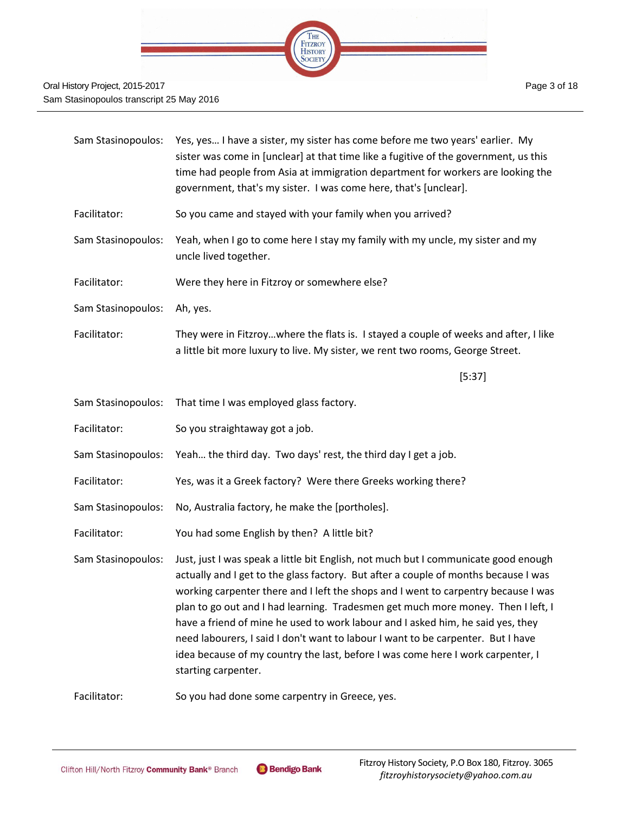

| Sam Stasinopoulos: | Yes, yes I have a sister, my sister has come before me two years' earlier. My<br>sister was come in [unclear] at that time like a fugitive of the government, us this<br>time had people from Asia at immigration department for workers are looking the<br>government, that's my sister. I was come here, that's [unclear].                                                                                                                                                                                                                                                                                                          |
|--------------------|---------------------------------------------------------------------------------------------------------------------------------------------------------------------------------------------------------------------------------------------------------------------------------------------------------------------------------------------------------------------------------------------------------------------------------------------------------------------------------------------------------------------------------------------------------------------------------------------------------------------------------------|
| Facilitator:       | So you came and stayed with your family when you arrived?                                                                                                                                                                                                                                                                                                                                                                                                                                                                                                                                                                             |
| Sam Stasinopoulos: | Yeah, when I go to come here I stay my family with my uncle, my sister and my<br>uncle lived together.                                                                                                                                                                                                                                                                                                                                                                                                                                                                                                                                |
| Facilitator:       | Were they here in Fitzroy or somewhere else?                                                                                                                                                                                                                                                                                                                                                                                                                                                                                                                                                                                          |
| Sam Stasinopoulos: | Ah, yes.                                                                                                                                                                                                                                                                                                                                                                                                                                                                                                                                                                                                                              |
| Facilitator:       | They were in Fitzroywhere the flats is. I stayed a couple of weeks and after, I like<br>a little bit more luxury to live. My sister, we rent two rooms, George Street.                                                                                                                                                                                                                                                                                                                                                                                                                                                                |
|                    | [5:37]                                                                                                                                                                                                                                                                                                                                                                                                                                                                                                                                                                                                                                |
| Sam Stasinopoulos: | That time I was employed glass factory.                                                                                                                                                                                                                                                                                                                                                                                                                                                                                                                                                                                               |
| Facilitator:       | So you straightaway got a job.                                                                                                                                                                                                                                                                                                                                                                                                                                                                                                                                                                                                        |
| Sam Stasinopoulos: | Yeah the third day. Two days' rest, the third day I get a job.                                                                                                                                                                                                                                                                                                                                                                                                                                                                                                                                                                        |
| Facilitator:       | Yes, was it a Greek factory? Were there Greeks working there?                                                                                                                                                                                                                                                                                                                                                                                                                                                                                                                                                                         |
| Sam Stasinopoulos: | No, Australia factory, he make the [portholes].                                                                                                                                                                                                                                                                                                                                                                                                                                                                                                                                                                                       |
| Facilitator:       | You had some English by then? A little bit?                                                                                                                                                                                                                                                                                                                                                                                                                                                                                                                                                                                           |
| Sam Stasinopoulos: | Just, just I was speak a little bit English, not much but I communicate good enough<br>actually and I get to the glass factory. But after a couple of months because I was<br>working carpenter there and I left the shops and I went to carpentry because I was<br>plan to go out and I had learning. Tradesmen get much more money. Then I left, I<br>have a friend of mine he used to work labour and I asked him, he said yes, they<br>need labourers, I said I don't want to labour I want to be carpenter. But I have<br>idea because of my country the last, before I was come here I work carpenter, I<br>starting carpenter. |
| Facilitator:       | So you had done some carpentry in Greece, yes.                                                                                                                                                                                                                                                                                                                                                                                                                                                                                                                                                                                        |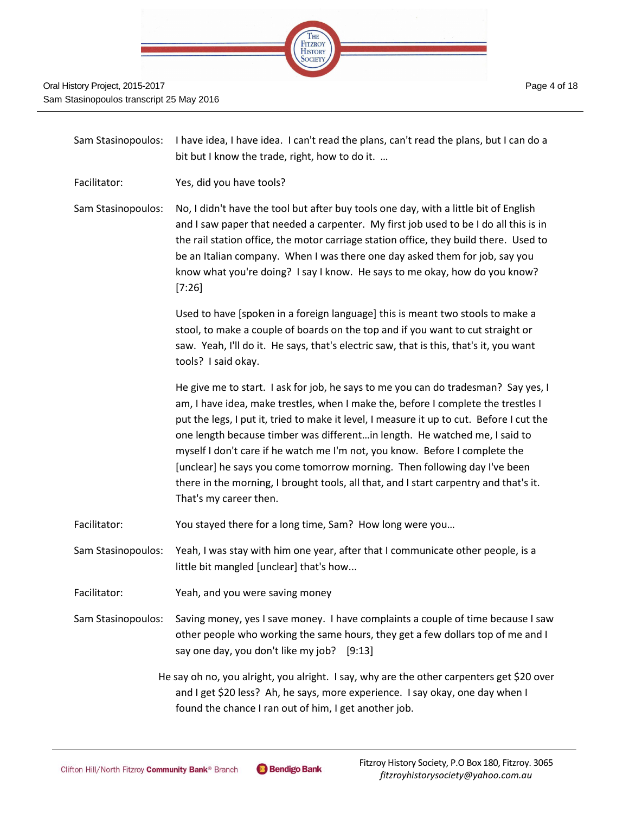

| Sam Stasinopoulos: | I have idea, I have idea. I can't read the plans, can't read the plans, but I can do a<br>bit but I know the trade, right, how to do it.                                                                                                                                                                                                                                                                                                                                                                                                                                                                                         |
|--------------------|----------------------------------------------------------------------------------------------------------------------------------------------------------------------------------------------------------------------------------------------------------------------------------------------------------------------------------------------------------------------------------------------------------------------------------------------------------------------------------------------------------------------------------------------------------------------------------------------------------------------------------|
| Facilitator:       | Yes, did you have tools?                                                                                                                                                                                                                                                                                                                                                                                                                                                                                                                                                                                                         |
| Sam Stasinopoulos: | No, I didn't have the tool but after buy tools one day, with a little bit of English<br>and I saw paper that needed a carpenter. My first job used to be I do all this is in<br>the rail station office, the motor carriage station office, they build there. Used to<br>be an Italian company. When I was there one day asked them for job, say you<br>know what you're doing? I say I know. He says to me okay, how do you know?<br>[7:26]                                                                                                                                                                                     |
|                    | Used to have [spoken in a foreign language] this is meant two stools to make a<br>stool, to make a couple of boards on the top and if you want to cut straight or<br>saw. Yeah, I'll do it. He says, that's electric saw, that is this, that's it, you want<br>tools? I said okay.                                                                                                                                                                                                                                                                                                                                               |
|                    | He give me to start. I ask for job, he says to me you can do tradesman? Say yes, I<br>am, I have idea, make trestles, when I make the, before I complete the trestles I<br>put the legs, I put it, tried to make it level, I measure it up to cut. Before I cut the<br>one length because timber was differentin length. He watched me, I said to<br>myself I don't care if he watch me I'm not, you know. Before I complete the<br>[unclear] he says you come tomorrow morning. Then following day I've been<br>there in the morning, I brought tools, all that, and I start carpentry and that's it.<br>That's my career then. |
| Facilitator:       | You stayed there for a long time, Sam? How long were you                                                                                                                                                                                                                                                                                                                                                                                                                                                                                                                                                                         |
| Sam Stasinopoulos: | Yeah, I was stay with him one year, after that I communicate other people, is a<br>little bit mangled [unclear] that's how                                                                                                                                                                                                                                                                                                                                                                                                                                                                                                       |
| Facilitator:       | Yeah, and you were saving money                                                                                                                                                                                                                                                                                                                                                                                                                                                                                                                                                                                                  |
| Sam Stasinopoulos: | Saving money, yes I save money. I have complaints a couple of time because I saw<br>other people who working the same hours, they get a few dollars top of me and I<br>say one day, you don't like my job? [9:13]                                                                                                                                                                                                                                                                                                                                                                                                                |
|                    | He say oh no, you alright, you alright. I say, why are the other carpenters get \$20 over<br>and I get \$20 less? Ah, he says, more experience. I say okay, one day when I<br>found the chance I ran out of him, I get another job.                                                                                                                                                                                                                                                                                                                                                                                              |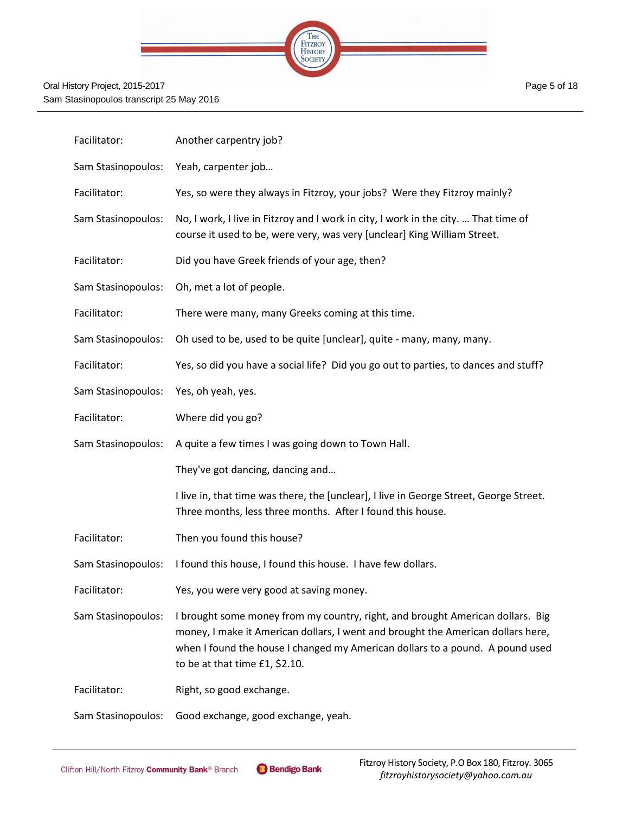

| Facilitator:       | Another carpentry job?                                                                                                                                                                                                                                                                |
|--------------------|---------------------------------------------------------------------------------------------------------------------------------------------------------------------------------------------------------------------------------------------------------------------------------------|
| Sam Stasinopoulos: | Yeah, carpenter job                                                                                                                                                                                                                                                                   |
| Facilitator:       | Yes, so were they always in Fitzroy, your jobs? Were they Fitzroy mainly?                                                                                                                                                                                                             |
| Sam Stasinopoulos: | No, I work, I live in Fitzroy and I work in city, I work in the city.  That time of<br>course it used to be, were very, was very [unclear] King William Street.                                                                                                                       |
| Facilitator:       | Did you have Greek friends of your age, then?                                                                                                                                                                                                                                         |
| Sam Stasinopoulos: | Oh, met a lot of people.                                                                                                                                                                                                                                                              |
| Facilitator:       | There were many, many Greeks coming at this time.                                                                                                                                                                                                                                     |
| Sam Stasinopoulos: | Oh used to be, used to be quite [unclear], quite - many, many, many.                                                                                                                                                                                                                  |
| Facilitator:       | Yes, so did you have a social life? Did you go out to parties, to dances and stuff?                                                                                                                                                                                                   |
| Sam Stasinopoulos: | Yes, oh yeah, yes.                                                                                                                                                                                                                                                                    |
| Facilitator:       | Where did you go?                                                                                                                                                                                                                                                                     |
| Sam Stasinopoulos: | A quite a few times I was going down to Town Hall.                                                                                                                                                                                                                                    |
|                    | They've got dancing, dancing and                                                                                                                                                                                                                                                      |
|                    | I live in, that time was there, the [unclear], I live in George Street, George Street.<br>Three months, less three months. After I found this house.                                                                                                                                  |
| Facilitator:       | Then you found this house?                                                                                                                                                                                                                                                            |
| Sam Stasinopoulos: | I found this house, I found this house. I have few dollars.                                                                                                                                                                                                                           |
| Facilitator:       | Yes, you were very good at saving money.                                                                                                                                                                                                                                              |
| Sam Stasinopoulos: | I brought some money from my country, right, and brought American dollars. Big<br>money, I make it American dollars, I went and brought the American dollars here,<br>when I found the house I changed my American dollars to a pound. A pound used<br>to be at that time £1, \$2.10. |
| Facilitator:       | Right, so good exchange.                                                                                                                                                                                                                                                              |
|                    |                                                                                                                                                                                                                                                                                       |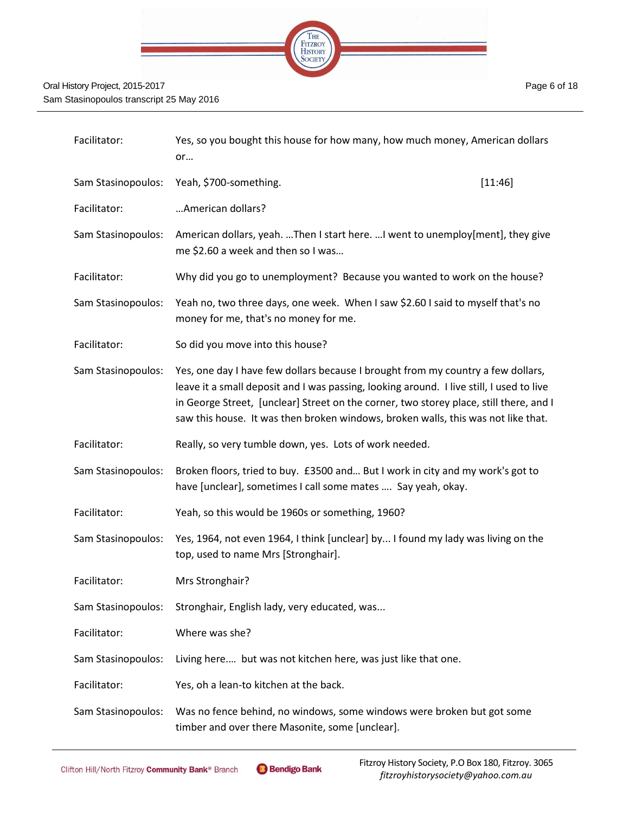

| Facilitator:       | Yes, so you bought this house for how many, how much money, American dollars<br>or                                                                                                                                                                                                                                                                          |         |
|--------------------|-------------------------------------------------------------------------------------------------------------------------------------------------------------------------------------------------------------------------------------------------------------------------------------------------------------------------------------------------------------|---------|
| Sam Stasinopoulos: | Yeah, \$700-something.                                                                                                                                                                                                                                                                                                                                      | [11:46] |
| Facilitator:       | American dollars?                                                                                                                                                                                                                                                                                                                                           |         |
| Sam Stasinopoulos: | American dollars, yeah. Then I start here.  I went to unemploy[ment], they give<br>me \$2.60 a week and then so I was                                                                                                                                                                                                                                       |         |
| Facilitator:       | Why did you go to unemployment? Because you wanted to work on the house?                                                                                                                                                                                                                                                                                    |         |
| Sam Stasinopoulos: | Yeah no, two three days, one week. When I saw \$2.60 I said to myself that's no<br>money for me, that's no money for me.                                                                                                                                                                                                                                    |         |
| Facilitator:       | So did you move into this house?                                                                                                                                                                                                                                                                                                                            |         |
| Sam Stasinopoulos: | Yes, one day I have few dollars because I brought from my country a few dollars,<br>leave it a small deposit and I was passing, looking around. I live still, I used to live<br>in George Street, [unclear] Street on the corner, two storey place, still there, and I<br>saw this house. It was then broken windows, broken walls, this was not like that. |         |
| Facilitator:       | Really, so very tumble down, yes. Lots of work needed.                                                                                                                                                                                                                                                                                                      |         |
| Sam Stasinopoulos: | Broken floors, tried to buy. £3500 and But I work in city and my work's got to<br>have [unclear], sometimes I call some mates  Say yeah, okay.                                                                                                                                                                                                              |         |
| Facilitator:       | Yeah, so this would be 1960s or something, 1960?                                                                                                                                                                                                                                                                                                            |         |
| Sam Stasinopoulos: | Yes, 1964, not even 1964, I think [unclear] by I found my lady was living on the<br>top, used to name Mrs [Stronghair].                                                                                                                                                                                                                                     |         |
| Facilitator:       | Mrs Stronghair?                                                                                                                                                                                                                                                                                                                                             |         |
| Sam Stasinopoulos: | Stronghair, English lady, very educated, was                                                                                                                                                                                                                                                                                                                |         |

Facilitator: Where was she?

Sam Stasinopoulos: Living here.… but was not kitchen here, was just like that one.

Facilitator: Yes, oh a lean-to kitchen at the back.

Sam Stasinopoulos: Was no fence behind, no windows, some windows were broken but got some timber and over there Masonite, some [unclear].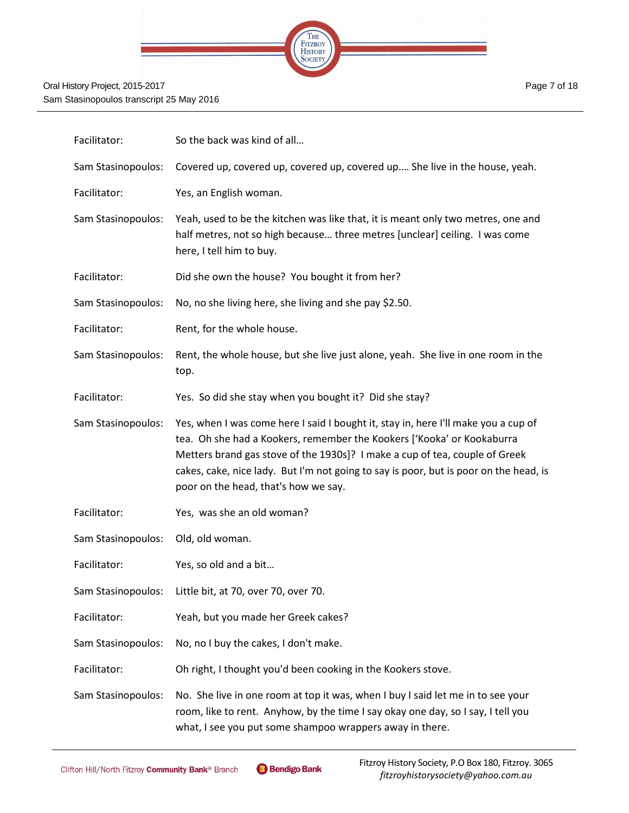

| Facilitator:       | So the back was kind of all                                                                                                                                                                                                                                                                                                                                                  |
|--------------------|------------------------------------------------------------------------------------------------------------------------------------------------------------------------------------------------------------------------------------------------------------------------------------------------------------------------------------------------------------------------------|
| Sam Stasinopoulos: | Covered up, covered up, covered up, covered up She live in the house, yeah.                                                                                                                                                                                                                                                                                                  |
| Facilitator:       | Yes, an English woman.                                                                                                                                                                                                                                                                                                                                                       |
| Sam Stasinopoulos: | Yeah, used to be the kitchen was like that, it is meant only two metres, one and<br>half metres, not so high because three metres [unclear] ceiling. I was come<br>here, I tell him to buy.                                                                                                                                                                                  |
| Facilitator:       | Did she own the house? You bought it from her?                                                                                                                                                                                                                                                                                                                               |
| Sam Stasinopoulos: | No, no she living here, she living and she pay \$2.50.                                                                                                                                                                                                                                                                                                                       |
| Facilitator:       | Rent, for the whole house.                                                                                                                                                                                                                                                                                                                                                   |
| Sam Stasinopoulos: | Rent, the whole house, but she live just alone, yeah. She live in one room in the<br>top.                                                                                                                                                                                                                                                                                    |
| Facilitator:       | Yes. So did she stay when you bought it? Did she stay?                                                                                                                                                                                                                                                                                                                       |
| Sam Stasinopoulos: | Yes, when I was come here I said I bought it, stay in, here I'll make you a cup of<br>tea. Oh she had a Kookers, remember the Kookers ['Kooka' or Kookaburra<br>Metters brand gas stove of the 1930s]? I make a cup of tea, couple of Greek<br>cakes, cake, nice lady. But I'm not going to say is poor, but is poor on the head, is<br>poor on the head, that's how we say. |
| Facilitator:       | Yes, was she an old woman?                                                                                                                                                                                                                                                                                                                                                   |
| Sam Stasinopoulos: | Old, old woman.                                                                                                                                                                                                                                                                                                                                                              |
| Facilitator:       | Yes, so old and a bit                                                                                                                                                                                                                                                                                                                                                        |
|                    | Sam Stasinopoulos: Little bit, at 70, over 70, over 70.                                                                                                                                                                                                                                                                                                                      |
| Facilitator:       | Yeah, but you made her Greek cakes?                                                                                                                                                                                                                                                                                                                                          |
| Sam Stasinopoulos: | No, no I buy the cakes, I don't make.                                                                                                                                                                                                                                                                                                                                        |
| Facilitator:       | Oh right, I thought you'd been cooking in the Kookers stove.                                                                                                                                                                                                                                                                                                                 |
| Sam Stasinopoulos: | No. She live in one room at top it was, when I buy I said let me in to see your<br>room, like to rent. Anyhow, by the time I say okay one day, so I say, I tell you<br>what, I see you put some shampoo wrappers away in there.                                                                                                                                              |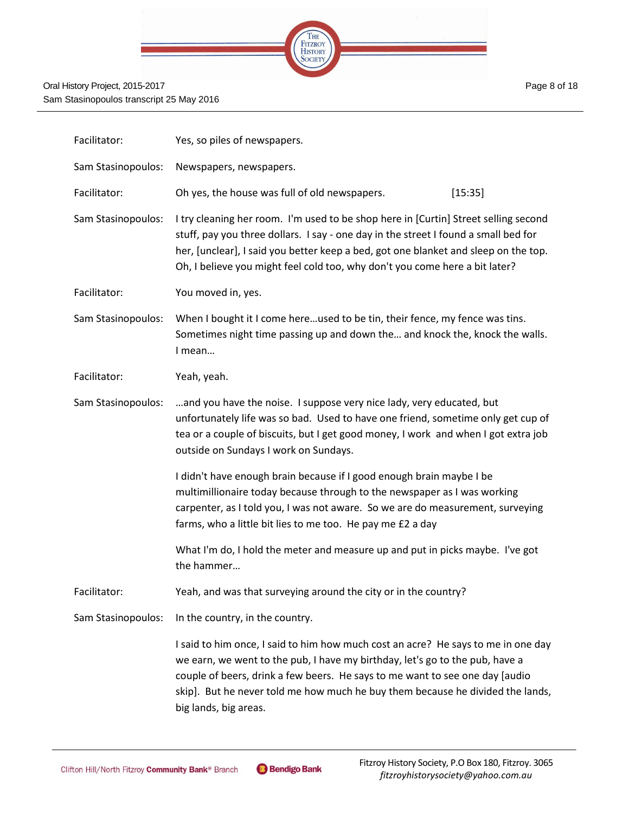|  | <b>THE</b>                        |  |
|--|-----------------------------------|--|
|  | <b>FITZROY</b><br>HISTORY<br>UCIE |  |
|  |                                   |  |

| Facilitator:       | Yes, so piles of newspapers.                                                                                                                                                                                                                                                                                                                                 |  |  |
|--------------------|--------------------------------------------------------------------------------------------------------------------------------------------------------------------------------------------------------------------------------------------------------------------------------------------------------------------------------------------------------------|--|--|
| Sam Stasinopoulos: | Newspapers, newspapers.                                                                                                                                                                                                                                                                                                                                      |  |  |
| Facilitator:       | Oh yes, the house was full of old newspapers.<br>[15:35]                                                                                                                                                                                                                                                                                                     |  |  |
| Sam Stasinopoulos: | I try cleaning her room. I'm used to be shop here in [Curtin] Street selling second<br>stuff, pay you three dollars. I say - one day in the street I found a small bed for<br>her, [unclear], I said you better keep a bed, got one blanket and sleep on the top.<br>Oh, I believe you might feel cold too, why don't you come here a bit later?             |  |  |
| Facilitator:       | You moved in, yes.                                                                                                                                                                                                                                                                                                                                           |  |  |
| Sam Stasinopoulos: | When I bought it I come hereused to be tin, their fence, my fence was tins.<br>Sometimes night time passing up and down the and knock the, knock the walls.<br>I mean                                                                                                                                                                                        |  |  |
| Facilitator:       | Yeah, yeah.                                                                                                                                                                                                                                                                                                                                                  |  |  |
| Sam Stasinopoulos: | and you have the noise. I suppose very nice lady, very educated, but<br>unfortunately life was so bad. Used to have one friend, sometime only get cup of<br>tea or a couple of biscuits, but I get good money, I work and when I got extra job<br>outside on Sundays I work on Sundays.                                                                      |  |  |
|                    | I didn't have enough brain because if I good enough brain maybe I be<br>multimillionaire today because through to the newspaper as I was working<br>carpenter, as I told you, I was not aware. So we are do measurement, surveying<br>farms, who a little bit lies to me too. He pay me £2 a day                                                             |  |  |
|                    | What I'm do, I hold the meter and measure up and put in picks maybe. I've got<br>the hammer                                                                                                                                                                                                                                                                  |  |  |
| Facilitator:       | Yeah, and was that surveying around the city or in the country?                                                                                                                                                                                                                                                                                              |  |  |
| Sam Stasinopoulos: | In the country, in the country.                                                                                                                                                                                                                                                                                                                              |  |  |
|                    | I said to him once, I said to him how much cost an acre? He says to me in one day<br>we earn, we went to the pub, I have my birthday, let's go to the pub, have a<br>couple of beers, drink a few beers. He says to me want to see one day [audio<br>skip]. But he never told me how much he buy them because he divided the lands,<br>big lands, big areas. |  |  |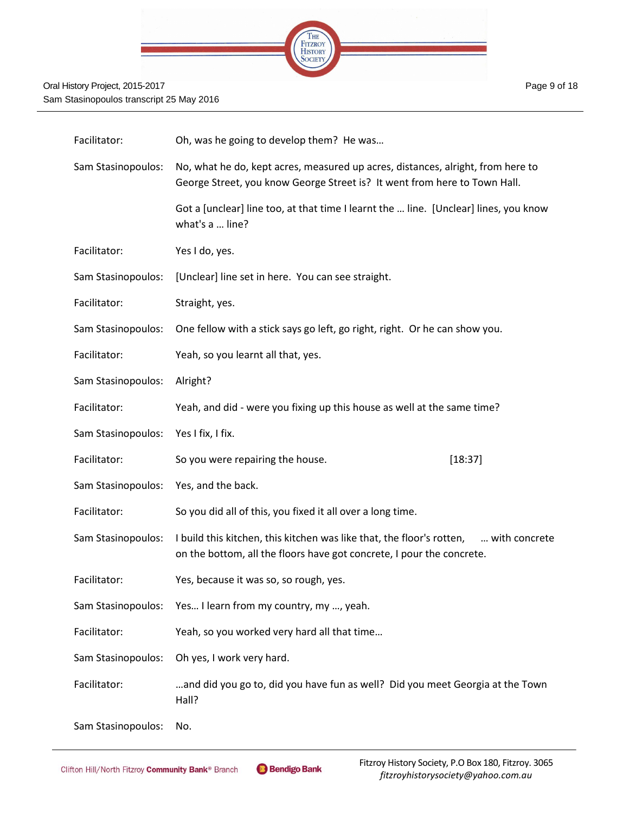

| Facilitator:       | Oh, was he going to develop them? He was                                                                                                                        |
|--------------------|-----------------------------------------------------------------------------------------------------------------------------------------------------------------|
| Sam Stasinopoulos: | No, what he do, kept acres, measured up acres, distances, alright, from here to<br>George Street, you know George Street is? It went from here to Town Hall.    |
|                    | Got a [unclear] line too, at that time I learnt the  line. [Unclear] lines, you know<br>what's a  line?                                                         |
| Facilitator:       | Yes I do, yes.                                                                                                                                                  |
| Sam Stasinopoulos: | [Unclear] line set in here. You can see straight.                                                                                                               |
| Facilitator:       | Straight, yes.                                                                                                                                                  |
| Sam Stasinopoulos: | One fellow with a stick says go left, go right, right. Or he can show you.                                                                                      |
| Facilitator:       | Yeah, so you learnt all that, yes.                                                                                                                              |
| Sam Stasinopoulos: | Alright?                                                                                                                                                        |
| Facilitator:       | Yeah, and did - were you fixing up this house as well at the same time?                                                                                         |
| Sam Stasinopoulos: | Yes I fix, I fix.                                                                                                                                               |
| Facilitator:       | So you were repairing the house.<br>[18:37]                                                                                                                     |
| Sam Stasinopoulos: | Yes, and the back.                                                                                                                                              |
| Facilitator:       | So you did all of this, you fixed it all over a long time.                                                                                                      |
| Sam Stasinopoulos: | I build this kitchen, this kitchen was like that, the floor's rotten,<br>with concrete<br>on the bottom, all the floors have got concrete, I pour the concrete. |
| Facilitator:       | Yes, because it was so, so rough, yes.                                                                                                                          |
| Sam Stasinopoulos: | Yes I learn from my country, my , yeah.                                                                                                                         |
| Facilitator:       | Yeah, so you worked very hard all that time                                                                                                                     |
| Sam Stasinopoulos: | Oh yes, I work very hard.                                                                                                                                       |
| Facilitator:       | and did you go to, did you have fun as well? Did you meet Georgia at the Town<br>Hall?                                                                          |
| Sam Stasinopoulos: | No.                                                                                                                                                             |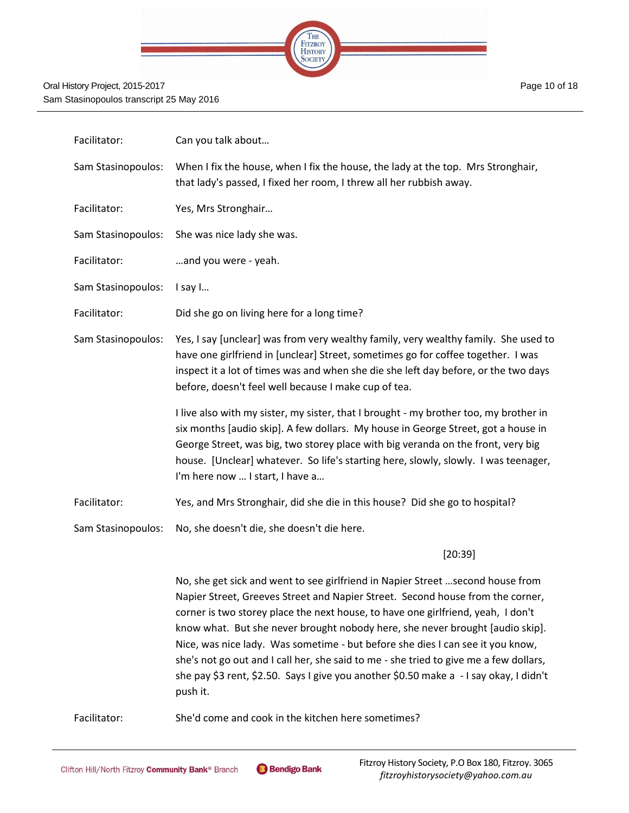

| Facilitator:       | Can you talk about                                                                                                                                                                                                                                                                                                                                                                       |
|--------------------|------------------------------------------------------------------------------------------------------------------------------------------------------------------------------------------------------------------------------------------------------------------------------------------------------------------------------------------------------------------------------------------|
| Sam Stasinopoulos: | When I fix the house, when I fix the house, the lady at the top. Mrs Stronghair,<br>that lady's passed, I fixed her room, I threw all her rubbish away.                                                                                                                                                                                                                                  |
| Facilitator:       | Yes, Mrs Stronghair                                                                                                                                                                                                                                                                                                                                                                      |
| Sam Stasinopoulos: | She was nice lady she was.                                                                                                                                                                                                                                                                                                                                                               |
| Facilitator:       | and you were - yeah.                                                                                                                                                                                                                                                                                                                                                                     |
| Sam Stasinopoulos: | I say I                                                                                                                                                                                                                                                                                                                                                                                  |
| Facilitator:       | Did she go on living here for a long time?                                                                                                                                                                                                                                                                                                                                               |
| Sam Stasinopoulos: | Yes, I say [unclear] was from very wealthy family, very wealthy family. She used to<br>have one girlfriend in [unclear] Street, sometimes go for coffee together. I was<br>inspect it a lot of times was and when she die she left day before, or the two days<br>before, doesn't feel well because I make cup of tea.                                                                   |
|                    | I live also with my sister, my sister, that I brought - my brother too, my brother in<br>six months [audio skip]. A few dollars. My house in George Street, got a house in<br>George Street, was big, two storey place with big veranda on the front, very big<br>house. [Unclear] whatever. So life's starting here, slowly, slowly. I was teenager,<br>I'm here now  I start, I have a |
| Facilitator:       | Yes, and Mrs Stronghair, did she die in this house? Did she go to hospital?                                                                                                                                                                                                                                                                                                              |
| Sam Stasinopoulos: | No, she doesn't die, she doesn't die here.                                                                                                                                                                                                                                                                                                                                               |
|                    | [20:39]                                                                                                                                                                                                                                                                                                                                                                                  |
|                    | No, she get sick and went to see girlfriend in Napier Street  second house from<br>Napier Street, Greeves Street and Napier Street. Second house from the corner,                                                                                                                                                                                                                        |

corner is two storey place the next house, to have one girlfriend, yeah, I don't know what. But she never brought nobody here, she never brought [audio skip]. Nice, was nice lady. Was sometime - but before she dies I can see it you know, she's not go out and I call her, she said to me - she tried to give me a few dollars, she pay \$3 rent, \$2.50. Says I give you another \$0.50 make a - I say okay, I didn't push it.

Facilitator: She'd come and cook in the kitchen here sometimes?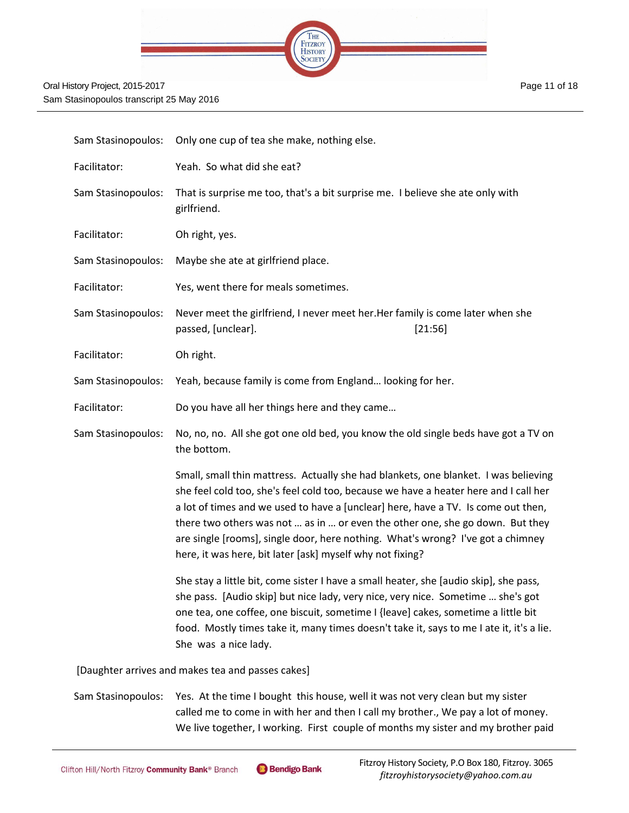

| Sam Stasinopoulos: | Only one cup of tea she make, nothing else.                                                                                                                                                                                                                                                                                                                                                                                                                                                       |
|--------------------|---------------------------------------------------------------------------------------------------------------------------------------------------------------------------------------------------------------------------------------------------------------------------------------------------------------------------------------------------------------------------------------------------------------------------------------------------------------------------------------------------|
| Facilitator:       | Yeah. So what did she eat?                                                                                                                                                                                                                                                                                                                                                                                                                                                                        |
| Sam Stasinopoulos: | That is surprise me too, that's a bit surprise me. I believe she ate only with<br>girlfriend.                                                                                                                                                                                                                                                                                                                                                                                                     |
| Facilitator:       | Oh right, yes.                                                                                                                                                                                                                                                                                                                                                                                                                                                                                    |
| Sam Stasinopoulos: | Maybe she ate at girlfriend place.                                                                                                                                                                                                                                                                                                                                                                                                                                                                |
| Facilitator:       | Yes, went there for meals sometimes.                                                                                                                                                                                                                                                                                                                                                                                                                                                              |
| Sam Stasinopoulos: | Never meet the girlfriend, I never meet her. Her family is come later when she<br>passed, [unclear].<br>[21:56]                                                                                                                                                                                                                                                                                                                                                                                   |
| Facilitator:       | Oh right.                                                                                                                                                                                                                                                                                                                                                                                                                                                                                         |
| Sam Stasinopoulos: | Yeah, because family is come from England looking for her.                                                                                                                                                                                                                                                                                                                                                                                                                                        |
| Facilitator:       | Do you have all her things here and they came                                                                                                                                                                                                                                                                                                                                                                                                                                                     |
| Sam Stasinopoulos: | No, no, no. All she got one old bed, you know the old single beds have got a TV on<br>the bottom.                                                                                                                                                                                                                                                                                                                                                                                                 |
|                    | Small, small thin mattress. Actually she had blankets, one blanket. I was believing<br>she feel cold too, she's feel cold too, because we have a heater here and I call her<br>a lot of times and we used to have a [unclear] here, have a TV. Is come out then,<br>there two others was not  as in  or even the other one, she go down. But they<br>are single [rooms], single door, here nothing. What's wrong? I've got a chimney<br>here, it was here, bit later [ask] myself why not fixing? |
|                    | She stay a little bit, come sister I have a small heater, she [audio skip], she pass,<br>she pass. [Audio skip] but nice lady, very nice, very nice. Sometime  she's got<br>one tea, one coffee, one biscuit, sometime I {leave] cakes, sometime a little bit<br>food. Mostly times take it, many times doesn't take it, says to me I ate it, it's a lie.<br>She was a nice lady.                                                                                                                 |

[Daughter arrives and makes tea and passes cakes]

Sam Stasinopoulos: Yes. At the time I bought this house, well it was not very clean but my sister called me to come in with her and then I call my brother., We pay a lot of money. We live together, I working. First couple of months my sister and my brother paid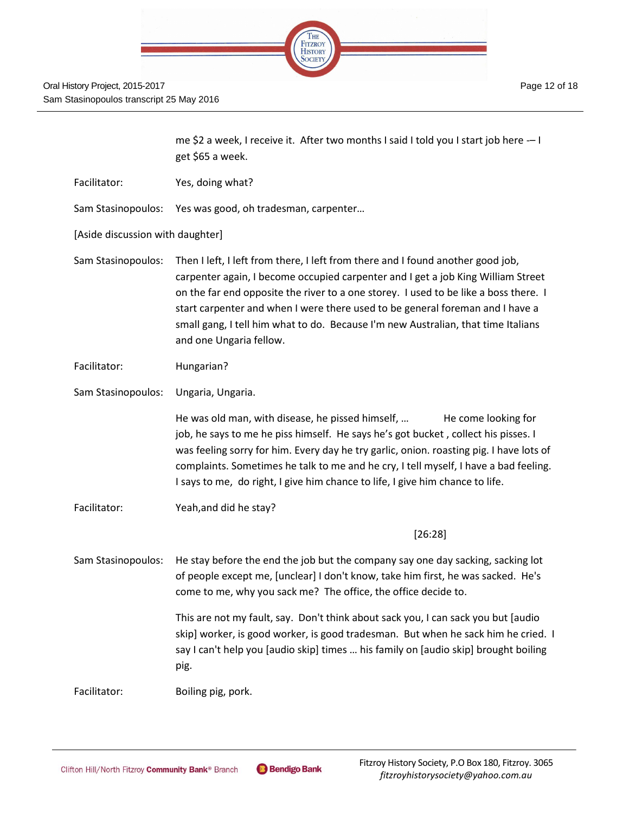

|                                  | me \$2 a week, I receive it. After two months I said I told you I start job here -- I<br>get \$65 a week.                                                                                                                                                                                                                                                                                                                                                    |
|----------------------------------|--------------------------------------------------------------------------------------------------------------------------------------------------------------------------------------------------------------------------------------------------------------------------------------------------------------------------------------------------------------------------------------------------------------------------------------------------------------|
| Facilitator:                     | Yes, doing what?                                                                                                                                                                                                                                                                                                                                                                                                                                             |
| Sam Stasinopoulos:               | Yes was good, oh tradesman, carpenter                                                                                                                                                                                                                                                                                                                                                                                                                        |
| [Aside discussion with daughter] |                                                                                                                                                                                                                                                                                                                                                                                                                                                              |
| Sam Stasinopoulos:               | Then I left, I left from there, I left from there and I found another good job,<br>carpenter again, I become occupied carpenter and I get a job King William Street<br>on the far end opposite the river to a one storey. I used to be like a boss there. I<br>start carpenter and when I were there used to be general foreman and I have a<br>small gang, I tell him what to do. Because I'm new Australian, that time Italians<br>and one Ungaria fellow. |
| Facilitator:                     | Hungarian?                                                                                                                                                                                                                                                                                                                                                                                                                                                   |
| Sam Stasinopoulos:               | Ungaria, Ungaria.                                                                                                                                                                                                                                                                                                                                                                                                                                            |
|                                  | He was old man, with disease, he pissed himself,<br>He come looking for<br>job, he says to me he piss himself. He says he's got bucket, collect his pisses. I<br>was feeling sorry for him. Every day he try garlic, onion. roasting pig. I have lots of<br>complaints. Sometimes he talk to me and he cry, I tell myself, I have a bad feeling.<br>I says to me, do right, I give him chance to life, I give him chance to life.                            |
| Facilitator:                     | Yeah, and did he stay?                                                                                                                                                                                                                                                                                                                                                                                                                                       |
|                                  | [26:28]                                                                                                                                                                                                                                                                                                                                                                                                                                                      |
| Sam Stasinopoulos:               | He stay before the end the job but the company say one day sacking, sacking lot<br>of people except me, [unclear] I don't know, take him first, he was sacked. He's<br>come to me, why you sack me? The office, the office decide to.                                                                                                                                                                                                                        |
|                                  | This are not my fault, say. Don't think about sack you, I can sack you but [audio<br>skip] worker, is good worker, is good tradesman. But when he sack him he cried. I<br>say I can't help you [audio skip] times  his family on [audio skip] brought boiling<br>pig.                                                                                                                                                                                        |
| Facilitator:                     | Boiling pig, pork.                                                                                                                                                                                                                                                                                                                                                                                                                                           |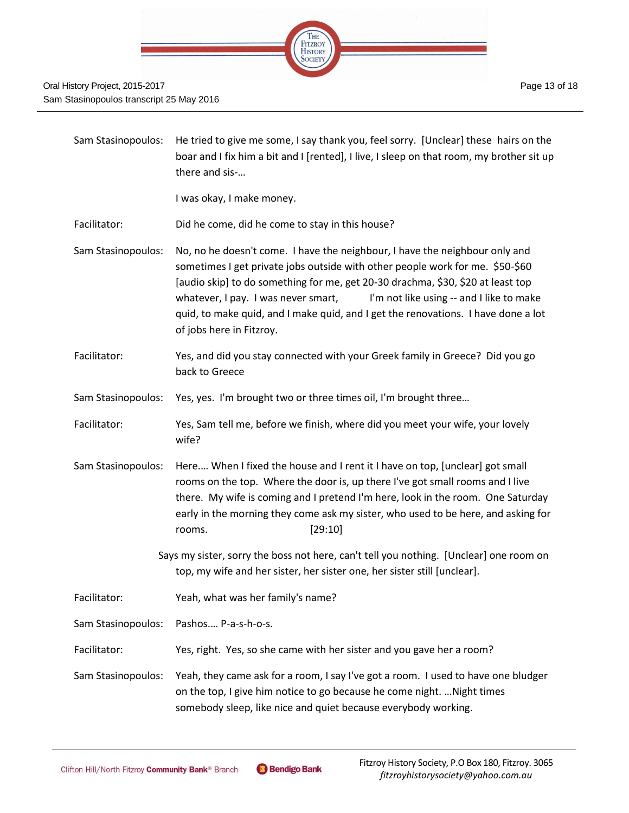

Sam Stasinopoulos: He tried to give me some, I say thank you, feel sorry. [Unclear] these hairs on the boar and I fix him a bit and I [rented], I live, I sleep on that room, my brother sit up there and sis-…

I was okay, I make money.

Facilitator: Did he come, did he come to stay in this house?

Sam Stasinopoulos: No, no he doesn't come. I have the neighbour, I have the neighbour only and sometimes I get private jobs outside with other people work for me. \$50-\$60 [audio skip] to do something for me, get 20-30 drachma, \$30, \$20 at least top whatever, I pay. I was never smart, I'm not like using -- and I like to make quid, to make quid, and I make quid, and I get the renovations. I have done a lot of jobs here in Fitzroy.

Facilitator: Yes, and did you stay connected with your Greek family in Greece? Did you go back to Greece

Sam Stasinopoulos: Yes, yes. I'm brought two or three times oil, I'm brought three…

- Facilitator: Yes, Sam tell me, before we finish, where did you meet your wife, your lovely wife?
- Sam Stasinopoulos: Here.… When I fixed the house and I rent it I have on top, [unclear] got small rooms on the top. Where the door is, up there I've got small rooms and I live there. My wife is coming and I pretend I'm here, look in the room. One Saturday early in the morning they come ask my sister, who used to be here, and asking for rooms. [29:10]
	- Says my sister, sorry the boss not here, can't tell you nothing. [Unclear] one room on top, my wife and her sister, her sister one, her sister still [unclear].
- Facilitator: Yeah, what was her family's name?

Sam Stasinopoulos: Pashos.… P-a-s-h-o-s.

Facilitator: Yes, right. Yes, so she came with her sister and you gave her a room?

Sam Stasinopoulos: Yeah, they came ask for a room, I say I've got a room. I used to have one bludger on the top, I give him notice to go because he come night. …Night times somebody sleep, like nice and quiet because everybody working.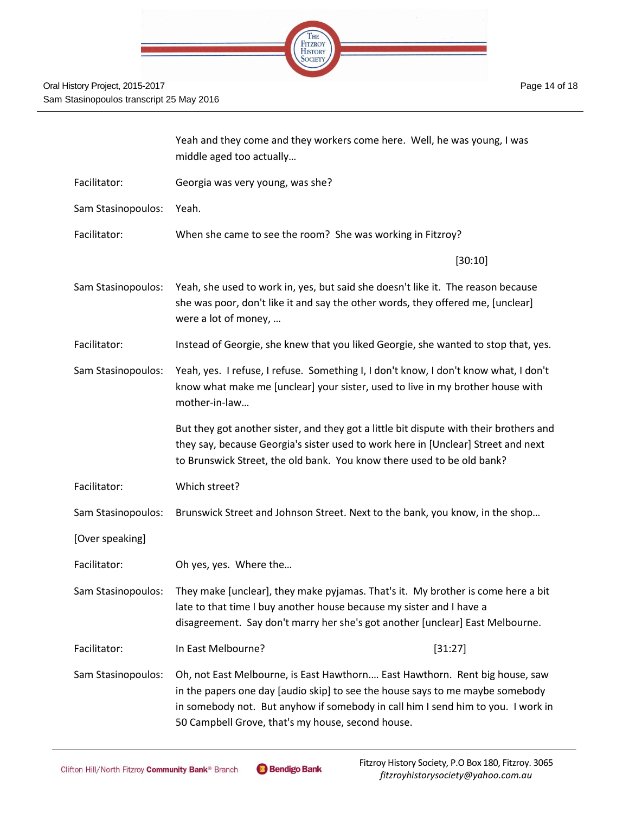| THE<br>FITZROY<br>HISTORY<br>SOCIETY |  |
|--------------------------------------|--|
| <b>JULIE</b>                         |  |
|                                      |  |

|                    | Yeah and they come and they workers come here. Well, he was young, I was<br>middle aged too actually                                                                                                                                                                                                  |         |
|--------------------|-------------------------------------------------------------------------------------------------------------------------------------------------------------------------------------------------------------------------------------------------------------------------------------------------------|---------|
| Facilitator:       | Georgia was very young, was she?                                                                                                                                                                                                                                                                      |         |
| Sam Stasinopoulos: | Yeah.                                                                                                                                                                                                                                                                                                 |         |
| Facilitator:       | When she came to see the room? She was working in Fitzroy?                                                                                                                                                                                                                                            |         |
|                    |                                                                                                                                                                                                                                                                                                       | [30:10] |
| Sam Stasinopoulos: | Yeah, she used to work in, yes, but said she doesn't like it. The reason because<br>she was poor, don't like it and say the other words, they offered me, [unclear]<br>were a lot of money,                                                                                                           |         |
| Facilitator:       | Instead of Georgie, she knew that you liked Georgie, she wanted to stop that, yes.                                                                                                                                                                                                                    |         |
| Sam Stasinopoulos: | Yeah, yes. I refuse, I refuse. Something I, I don't know, I don't know what, I don't<br>know what make me [unclear] your sister, used to live in my brother house with<br>mother-in-law                                                                                                               |         |
|                    | But they got another sister, and they got a little bit dispute with their brothers and<br>they say, because Georgia's sister used to work here in [Unclear] Street and next<br>to Brunswick Street, the old bank. You know there used to be old bank?                                                 |         |
| Facilitator:       | Which street?                                                                                                                                                                                                                                                                                         |         |
| Sam Stasinopoulos: | Brunswick Street and Johnson Street. Next to the bank, you know, in the shop                                                                                                                                                                                                                          |         |
| [Over speaking]    |                                                                                                                                                                                                                                                                                                       |         |
| Facilitator:       | Oh yes, yes. Where the                                                                                                                                                                                                                                                                                |         |
| Sam Stasinopoulos: | They make [unclear], they make pyjamas. That's it. My brother is come here a bit<br>late to that time I buy another house because my sister and I have a<br>disagreement. Say don't marry her she's got another [unclear] East Melbourne.                                                             |         |
| Facilitator:       | In East Melbourne?                                                                                                                                                                                                                                                                                    | [31:27] |
| Sam Stasinopoulos: | Oh, not East Melbourne, is East Hawthorn East Hawthorn. Rent big house, saw<br>in the papers one day [audio skip] to see the house says to me maybe somebody<br>in somebody not. But anyhow if somebody in call him I send him to you. I work in<br>50 Campbell Grove, that's my house, second house. |         |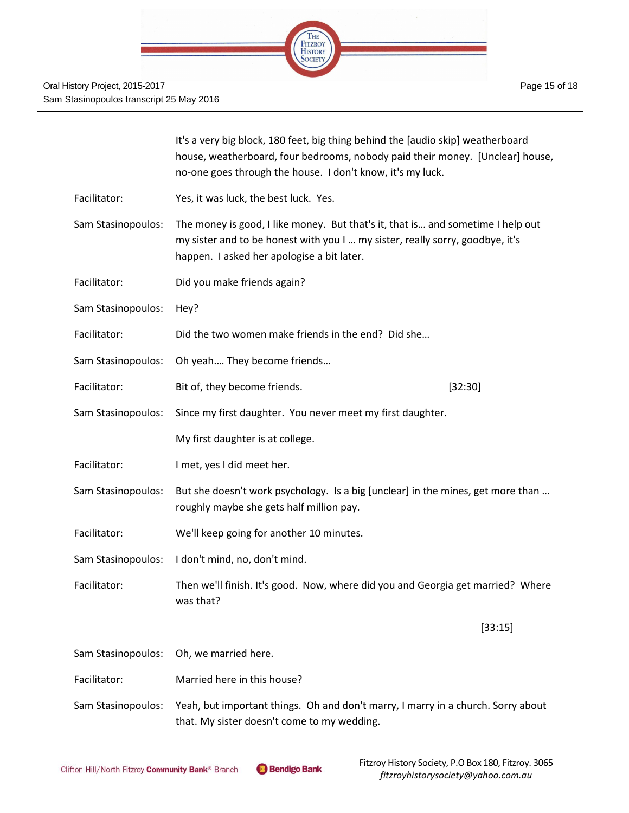|                    | It's a very big block, 180 feet, big thing behind the [audio skip] weatherboard<br>house, weatherboard, four bedrooms, nobody paid their money. [Unclear] house,<br>no-one goes through the house. I don't know, it's my luck. |         |
|--------------------|--------------------------------------------------------------------------------------------------------------------------------------------------------------------------------------------------------------------------------|---------|
| Facilitator:       | Yes, it was luck, the best luck. Yes.                                                                                                                                                                                          |         |
| Sam Stasinopoulos: | The money is good, I like money. But that's it, that is and sometime I help out<br>my sister and to be honest with you I  my sister, really sorry, goodbye, it's<br>happen. I asked her apologise a bit later.                 |         |
| Facilitator:       | Did you make friends again?                                                                                                                                                                                                    |         |
| Sam Stasinopoulos: | Hey?                                                                                                                                                                                                                           |         |
| Facilitator:       | Did the two women make friends in the end? Did she                                                                                                                                                                             |         |
| Sam Stasinopoulos: | Oh yeah They become friends                                                                                                                                                                                                    |         |
| Facilitator:       | Bit of, they become friends.                                                                                                                                                                                                   | [32:30] |
| Sam Stasinopoulos: | Since my first daughter. You never meet my first daughter.                                                                                                                                                                     |         |
|                    | My first daughter is at college.                                                                                                                                                                                               |         |
| Facilitator:       | I met, yes I did meet her.                                                                                                                                                                                                     |         |
| Sam Stasinopoulos: | But she doesn't work psychology. Is a big [unclear] in the mines, get more than<br>roughly maybe she gets half million pay.                                                                                                    |         |
| Facilitator:       | We'll keep going for another 10 minutes.                                                                                                                                                                                       |         |
| Sam Stasinopoulos: | I don't mind, no, don't mind.                                                                                                                                                                                                  |         |
| Facilitator:       | Then we'll finish. It's good. Now, where did you and Georgia get married? Where<br>was that?                                                                                                                                   |         |
|                    |                                                                                                                                                                                                                                | [33:15] |
| Sam Stasinopoulos: | Oh, we married here.                                                                                                                                                                                                           |         |
| Facilitator:       | Married here in this house?                                                                                                                                                                                                    |         |
| Sam Stasinopoulos: | Yeah, but important things. Oh and don't marry, I marry in a church. Sorry about<br>that. My sister doesn't come to my wedding.                                                                                                |         |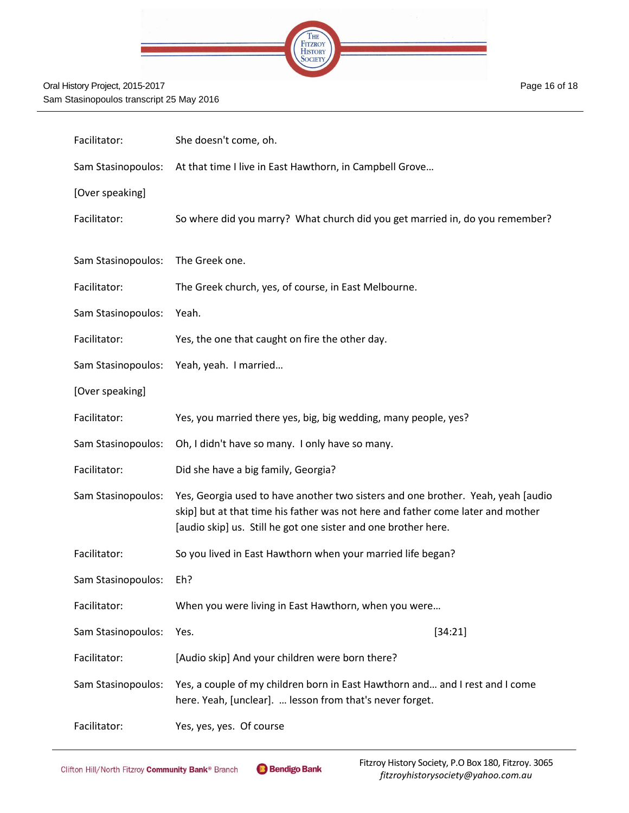

| Facilitator:       | She doesn't come, oh.                                                                                                                                                                                                                 |
|--------------------|---------------------------------------------------------------------------------------------------------------------------------------------------------------------------------------------------------------------------------------|
| Sam Stasinopoulos: | At that time I live in East Hawthorn, in Campbell Grove                                                                                                                                                                               |
| [Over speaking]    |                                                                                                                                                                                                                                       |
| Facilitator:       | So where did you marry? What church did you get married in, do you remember?                                                                                                                                                          |
| Sam Stasinopoulos: | The Greek one.                                                                                                                                                                                                                        |
| Facilitator:       | The Greek church, yes, of course, in East Melbourne.                                                                                                                                                                                  |
| Sam Stasinopoulos: | Yeah.                                                                                                                                                                                                                                 |
| Facilitator:       | Yes, the one that caught on fire the other day.                                                                                                                                                                                       |
| Sam Stasinopoulos: | Yeah, yeah. I married                                                                                                                                                                                                                 |
| [Over speaking]    |                                                                                                                                                                                                                                       |
| Facilitator:       | Yes, you married there yes, big, big wedding, many people, yes?                                                                                                                                                                       |
| Sam Stasinopoulos: | Oh, I didn't have so many. I only have so many.                                                                                                                                                                                       |
| Facilitator:       | Did she have a big family, Georgia?                                                                                                                                                                                                   |
| Sam Stasinopoulos: | Yes, Georgia used to have another two sisters and one brother. Yeah, yeah [audio<br>skip] but at that time his father was not here and father come later and mother<br>[audio skip] us. Still he got one sister and one brother here. |
| Facilitator:       | So you lived in East Hawthorn when your married life began?                                                                                                                                                                           |
| Sam Stasinopoulos: | Eh?                                                                                                                                                                                                                                   |
| Facilitator:       | When you were living in East Hawthorn, when you were                                                                                                                                                                                  |
| Sam Stasinopoulos: | [34:21]<br>Yes.                                                                                                                                                                                                                       |
| Facilitator:       | [Audio skip] And your children were born there?                                                                                                                                                                                       |
| Sam Stasinopoulos: | Yes, a couple of my children born in East Hawthorn and and I rest and I come<br>here. Yeah, [unclear].  lesson from that's never forget.                                                                                              |
| Facilitator:       | Yes, yes, yes. Of course                                                                                                                                                                                                              |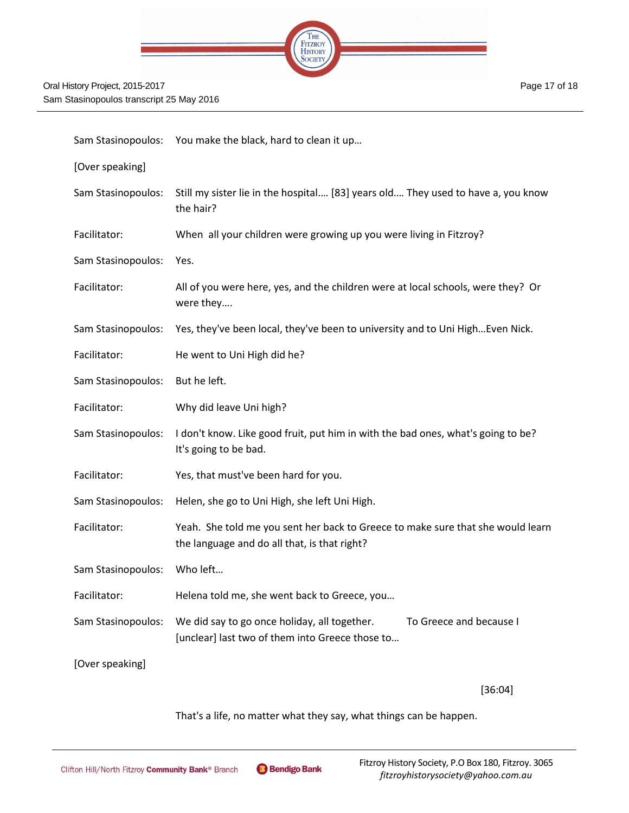

|                    | Sam Stasinopoulos: You make the black, hard to clean it up                                                                      |
|--------------------|---------------------------------------------------------------------------------------------------------------------------------|
| [Over speaking]    |                                                                                                                                 |
| Sam Stasinopoulos: | Still my sister lie in the hospital [83] years old They used to have a, you know<br>the hair?                                   |
| Facilitator:       | When all your children were growing up you were living in Fitzroy?                                                              |
| Sam Stasinopoulos: | Yes.                                                                                                                            |
| Facilitator:       | All of you were here, yes, and the children were at local schools, were they? Or<br>were they                                   |
| Sam Stasinopoulos: | Yes, they've been local, they've been to university and to Uni High Even Nick.                                                  |
| Facilitator:       | He went to Uni High did he?                                                                                                     |
| Sam Stasinopoulos: | But he left.                                                                                                                    |
| Facilitator:       | Why did leave Uni high?                                                                                                         |
| Sam Stasinopoulos: | I don't know. Like good fruit, put him in with the bad ones, what's going to be?<br>It's going to be bad.                       |
| Facilitator:       | Yes, that must've been hard for you.                                                                                            |
| Sam Stasinopoulos: | Helen, she go to Uni High, she left Uni High.                                                                                   |
| Facilitator:       | Yeah. She told me you sent her back to Greece to make sure that she would learn<br>the language and do all that, is that right? |
| Sam Stasinopoulos: | Who left                                                                                                                        |
| Facilitator:       | Helena told me, she went back to Greece, you                                                                                    |
| Sam Stasinopoulos: | We did say to go once holiday, all together.<br>To Greece and because I<br>[unclear] last two of them into Greece those to      |
| [Over speaking]    |                                                                                                                                 |
|                    |                                                                                                                                 |

[36:04]

Page 17 of 18

That's a life, no matter what they say, what things can be happen.